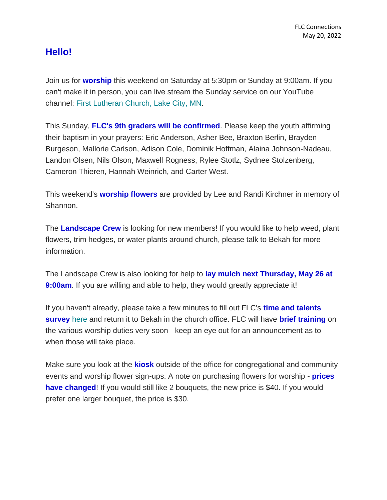## **Hello!**

Join us for **worship** this weekend on Saturday at 5:30pm or Sunday at 9:00am. If you can't make it in person, you can live stream the Sunday service on our YouTube channel: [First Lutheran Church, Lake City,](https://www.youtube.com/channel/UC9XdNg_hQSX1DHMunNI8WQw) MN.

This Sunday, **FLC's 9th graders will be confirmed**. Please keep the youth affirming their baptism in your prayers: Eric Anderson, Asher Bee, Braxton Berlin, Brayden Burgeson, Mallorie Carlson, Adison Cole, Dominik Hoffman, Alaina Johnson-Nadeau, Landon Olsen, Nils Olson, Maxwell Rogness, Rylee Stotlz, Sydnee Stolzenberg, Cameron Thieren, Hannah Weinrich, and Carter West.

This weekend's **worship flowers** are provided by Lee and Randi Kirchner in memory of Shannon.

The **Landscape Crew** is looking for new members! If you would like to help weed, plant flowers, trim hedges, or water plants around church, please talk to Bekah for more information.

The Landscape Crew is also looking for help to **lay mulch next Thursday, May 26 at 9:00am**. If you are willing and able to help, they would greatly appreciate it!

If you haven't already, please take a few minutes to fill out FLC's **time and talents survey** [here](https://mcusercontent.com/77c7c6d2c1cfcdf43b66ccb3d/files/aee83634-22d0-10d7-b9e5-037932c61b8a/Time_and_Talents_2022_PDF.pdf) and return it to Bekah in the church office. FLC will have **brief training** on the various worship duties very soon - keep an eye out for an announcement as to when those will take place.

Make sure you look at the **kiosk** outside of the office for congregational and community events and worship flower sign-ups. A note on purchasing flowers for worship - **prices have changed!** If you would still like 2 bouquets, the new price is \$40. If you would prefer one larger bouquet, the price is \$30.